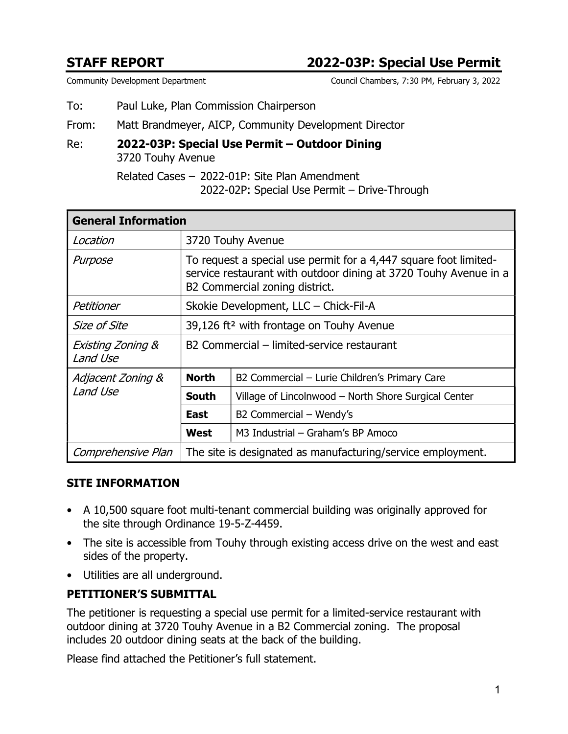# STAFF REPORT 2022-03P: Special Use Permit

Community Development Department Council Chambers, 7:30 PM, February 3, 2022

To: Paul Luke, Plan Commission Chairperson

From: Matt Brandmeyer, AICP, Community Development Director

Re: 2022-03P: Special Use Permit – Outdoor Dining 3720 Touhy Avenue

> Related Cases – 2022-01P: Site Plan Amendment 2022-02P: Special Use Permit – Drive-Through

| <b>General Information</b>    |                                                                                                                                                                        |                                                      |  |
|-------------------------------|------------------------------------------------------------------------------------------------------------------------------------------------------------------------|------------------------------------------------------|--|
| Location                      | 3720 Touhy Avenue                                                                                                                                                      |                                                      |  |
| Purpose                       | To request a special use permit for a 4,447 square foot limited-<br>service restaurant with outdoor dining at 3720 Touhy Avenue in a<br>B2 Commercial zoning district. |                                                      |  |
| Petitioner                    | Skokie Development, LLC - Chick-Fil-A                                                                                                                                  |                                                      |  |
| Size of Site                  | 39,126 ft <sup>2</sup> with frontage on Touhy Avenue                                                                                                                   |                                                      |  |
| Existing Zoning &<br>Land Use | B2 Commercial – limited-service restaurant                                                                                                                             |                                                      |  |
| Adjacent Zoning &<br>Land Use | <b>North</b>                                                                                                                                                           | B2 Commercial - Lurie Children's Primary Care        |  |
|                               | <b>South</b>                                                                                                                                                           | Village of Lincolnwood - North Shore Surgical Center |  |
|                               | <b>East</b>                                                                                                                                                            | B2 Commercial - Wendy's                              |  |
|                               | West                                                                                                                                                                   | M3 Industrial - Graham's BP Amoco                    |  |
| Comprehensive Plan            | The site is designated as manufacturing/service employment.                                                                                                            |                                                      |  |

#### SITE INFORMATION

- A 10,500 square foot multi-tenant commercial building was originally approved for the site through Ordinance 19-5-Z-4459.
- The site is accessible from Touhy through existing access drive on the west and east sides of the property.
- Utilities are all underground.

#### PETITIONER'S SUBMITTAL

The petitioner is requesting a special use permit for a limited-service restaurant with outdoor dining at 3720 Touhy Avenue in a B2 Commercial zoning. The proposal includes 20 outdoor dining seats at the back of the building.

Please find attached the Petitioner's full statement.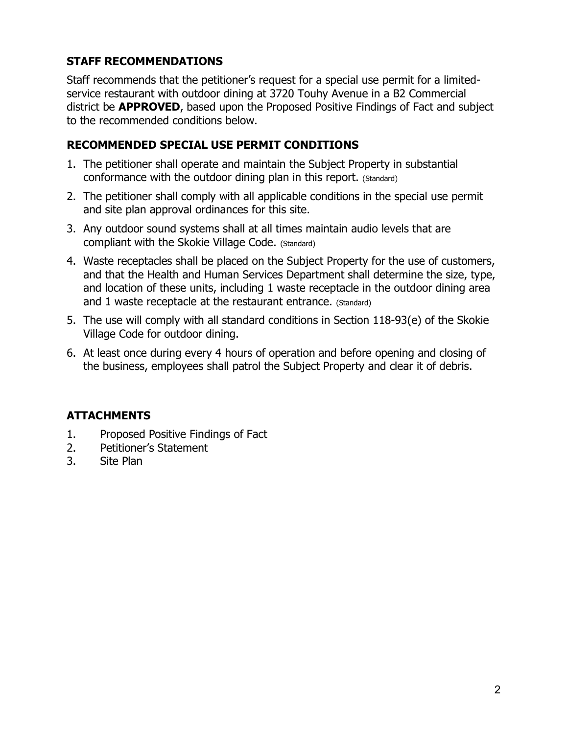## STAFF RECOMMENDATIONS

Staff recommends that the petitioner's request for a special use permit for a limitedservice restaurant with outdoor dining at 3720 Touhy Avenue in a B2 Commercial district be **APPROVED**, based upon the Proposed Positive Findings of Fact and subject to the recommended conditions below.

#### RECOMMENDED SPECIAL USE PERMIT CONDITIONS

- 1. The petitioner shall operate and maintain the Subject Property in substantial conformance with the outdoor dining plan in this report. (Standard)
- 2. The petitioner shall comply with all applicable conditions in the special use permit and site plan approval ordinances for this site.
- 3. Any outdoor sound systems shall at all times maintain audio levels that are compliant with the Skokie Village Code. (Standard)
- 4. Waste receptacles shall be placed on the Subject Property for the use of customers, and that the Health and Human Services Department shall determine the size, type, and location of these units, including 1 waste receptacle in the outdoor dining area and 1 waste receptacle at the restaurant entrance. (Standard)
- 5. The use will comply with all standard conditions in Section 118-93(e) of the Skokie Village Code for outdoor dining.
- 6. At least once during every 4 hours of operation and before opening and closing of the business, employees shall patrol the Subject Property and clear it of debris.

## ATTACHMENTS

- 1. Proposed Positive Findings of Fact
- 2. Petitioner's Statement
- 3. Site Plan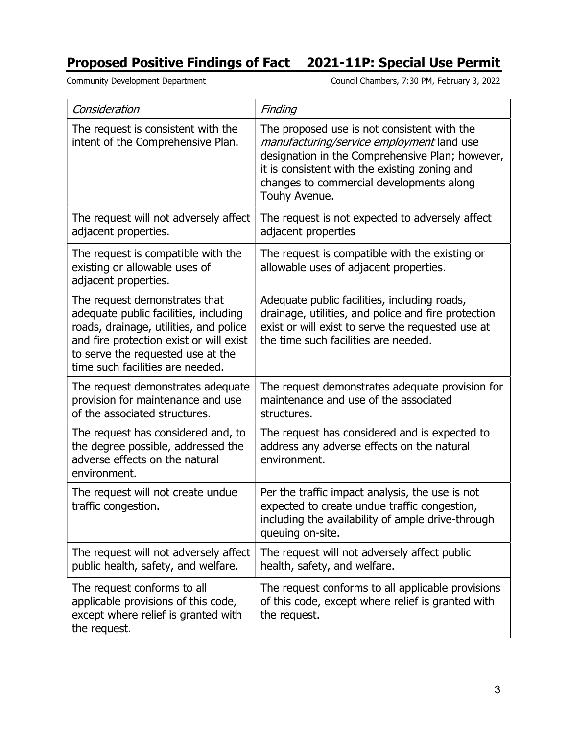# Proposed Positive Findings of Fact 2021-11P: Special Use Permit

Community Development Department Council Chambers, 7:30 PM, February 3, 2022

| Consideration                                                                                                                                                                                                                        | Finding                                                                                                                                                                                                                                                   |
|--------------------------------------------------------------------------------------------------------------------------------------------------------------------------------------------------------------------------------------|-----------------------------------------------------------------------------------------------------------------------------------------------------------------------------------------------------------------------------------------------------------|
| The request is consistent with the<br>intent of the Comprehensive Plan.                                                                                                                                                              | The proposed use is not consistent with the<br>manufacturing/service employment land use<br>designation in the Comprehensive Plan; however,<br>it is consistent with the existing zoning and<br>changes to commercial developments along<br>Touhy Avenue. |
| The request will not adversely affect<br>adjacent properties.                                                                                                                                                                        | The request is not expected to adversely affect<br>adjacent properties                                                                                                                                                                                    |
| The request is compatible with the<br>existing or allowable uses of<br>adjacent properties.                                                                                                                                          | The request is compatible with the existing or<br>allowable uses of adjacent properties.                                                                                                                                                                  |
| The request demonstrates that<br>adequate public facilities, including<br>roads, drainage, utilities, and police<br>and fire protection exist or will exist<br>to serve the requested use at the<br>time such facilities are needed. | Adequate public facilities, including roads,<br>drainage, utilities, and police and fire protection<br>exist or will exist to serve the requested use at<br>the time such facilities are needed.                                                          |
| The request demonstrates adequate<br>provision for maintenance and use<br>of the associated structures.                                                                                                                              | The request demonstrates adequate provision for<br>maintenance and use of the associated<br>structures.                                                                                                                                                   |
| The request has considered and, to<br>the degree possible, addressed the<br>adverse effects on the natural<br>environment.                                                                                                           | The request has considered and is expected to<br>address any adverse effects on the natural<br>environment.                                                                                                                                               |
| The request will not create undue<br>traffic congestion.                                                                                                                                                                             | Per the traffic impact analysis, the use is not<br>expected to create undue traffic congestion,<br>including the availability of ample drive-through<br>queuing on-site.                                                                                  |
| The request will not adversely affect<br>public health, safety, and welfare.                                                                                                                                                         | The request will not adversely affect public<br>health, safety, and welfare.                                                                                                                                                                              |
| The request conforms to all<br>applicable provisions of this code,<br>except where relief is granted with<br>the request.                                                                                                            | The request conforms to all applicable provisions<br>of this code, except where relief is granted with<br>the request.                                                                                                                                    |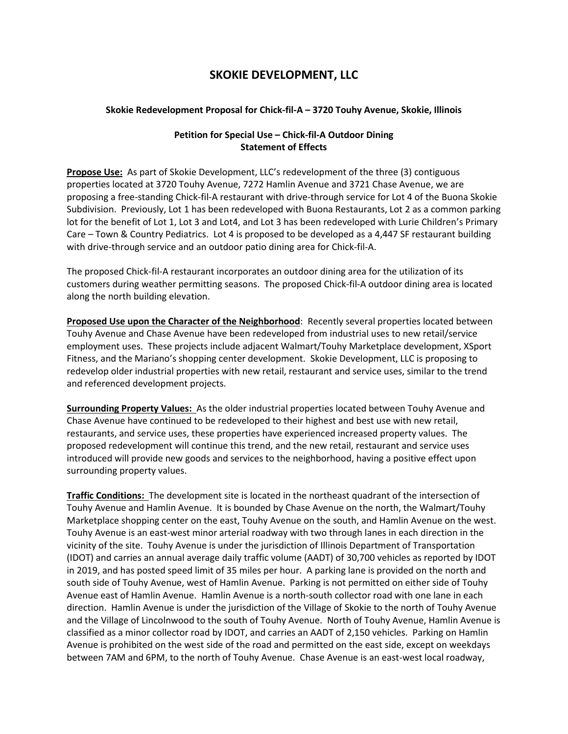### **SKOKIE DEVELOPMENT, LLC**

#### **Skokie Redevelopment Proposal for Chick-fil-A – 3720 Touhy Avenue, Skokie, Illinois**

#### **Petition for Special Use – Chick-fil-A Outdoor Dining Statement of Effects**

**Propose Use:** As part of Skokie Development, LLC's redevelopment of the three (3) contiguous properties located at 3720 Touhy Avenue, 7272 Hamlin Avenue and 3721 Chase Avenue, we are proposing a free-standing Chick-fil-A restaurant with drive-through service for Lot 4 of the Buona Skokie Subdivision. Previously, Lot 1 has been redeveloped with Buona Restaurants, Lot 2 as a common parking lot for the benefit of Lot 1, Lot 3 and Lot4, and Lot 3 has been redeveloped with Lurie Children's Primary Care – Town & Country Pediatrics. Lot 4 is proposed to be developed as a 4,447 SF restaurant building with drive-through service and an outdoor patio dining area for Chick-fil-A.

The proposed Chick-fil-A restaurant incorporates an outdoor dining area for the utilization of its customers during weather permitting seasons. The proposed Chick-fil-A outdoor dining area is located along the north building elevation.

**Proposed Use upon the Character of the Neighborhood**: Recently several properties located between Touhy Avenue and Chase Avenue have been redeveloped from industrial uses to new retail/service employment uses. These projects include adjacent Walmart/Touhy Marketplace development, XSport Fitness, and the Mariano's shopping center development. Skokie Development, LLC is proposing to redevelop older industrial properties with new retail, restaurant and service uses, similar to the trend and referenced development projects.

**Surrounding Property Values:** As the older industrial properties located between Touhy Avenue and Chase Avenue have continued to be redeveloped to their highest and best use with new retail, restaurants, and service uses, these properties have experienced increased property values. The proposed redevelopment will continue this trend, and the new retail, restaurant and service uses introduced will provide new goods and services to the neighborhood, having a positive effect upon surrounding property values.

**Traffic Conditions:** The development site is located in the northeast quadrant of the intersection of Touhy Avenue and Hamlin Avenue. It is bounded by Chase Avenue on the north, the Walmart/Touhy Marketplace shopping center on the east, Touhy Avenue on the south, and Hamlin Avenue on the west. Touhy Avenue is an east-west minor arterial roadway with two through lanes in each direction in the vicinity of the site. Touhy Avenue is under the jurisdiction of Illinois Department of Transportation (IDOT) and carries an annual average daily traffic volume (AADT) of 30,700 vehicles as reported by IDOT in 2019, and has posted speed limit of 35 miles per hour. A parking lane is provided on the north and south side of Touhy Avenue, west of Hamlin Avenue. Parking is not permitted on either side of Touhy Avenue east of Hamlin Avenue. Hamlin Avenue is a north-south collector road with one lane in each direction. Hamlin Avenue is under the jurisdiction of the Village of Skokie to the north of Touhy Avenue and the Village of Lincolnwood to the south of Touhy Avenue. North of Touhy Avenue, Hamlin Avenue is classified as a minor collector road by IDOT, and carries an AADT of 2,150 vehicles. Parking on Hamlin Avenue is prohibited on the west side of the road and permitted on the east side, except on weekdays between 7AM and 6PM, to the north of Touhy Avenue. Chase Avenue is an east-west local roadway,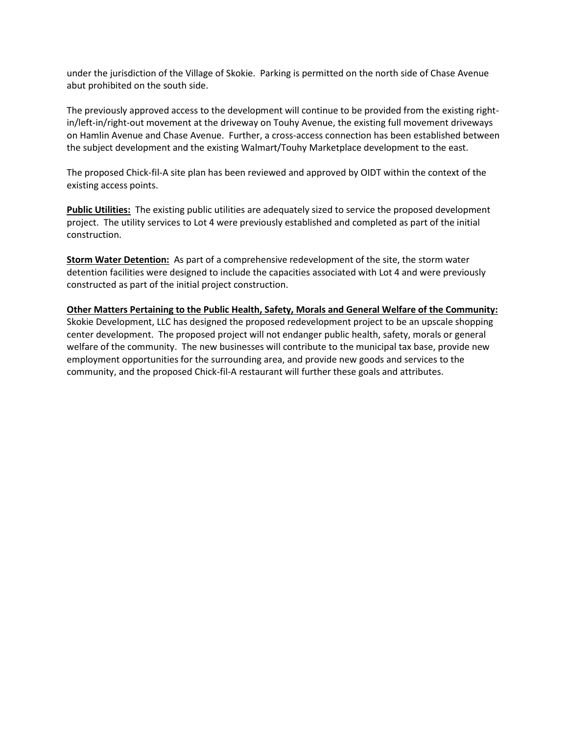under the jurisdiction of the Village of Skokie. Parking is permitted on the north side of Chase Avenue abut prohibited on the south side.

The previously approved access to the development will continue to be provided from the existing rightin/left-in/right-out movement at the driveway on Touhy Avenue, the existing full movement driveways on Hamlin Avenue and Chase Avenue. Further, a cross-access connection has been established between the subject development and the existing Walmart/Touhy Marketplace development to the east.

The proposed Chick-fil-A site plan has been reviewed and approved by OIDT within the context of the existing access points.

**Public Utilities:** The existing public utilities are adequately sized to service the proposed development project. The utility services to Lot 4 were previously established and completed as part of the initial construction.

**Storm Water Detention:** As part of a comprehensive redevelopment of the site, the storm water detention facilities were designed to include the capacities associated with Lot 4 and were previously constructed as part of the initial project construction.

**Other Matters Pertaining to the Public Health, Safety, Morals and General Welfare of the Community:**  Skokie Development, LLC has designed the proposed redevelopment project to be an upscale shopping center development. The proposed project will not endanger public health, safety, morals or general welfare of the community. The new businesses will contribute to the municipal tax base, provide new employment opportunities for the surrounding area, and provide new goods and services to the community, and the proposed Chick-fil-A restaurant will further these goals and attributes.